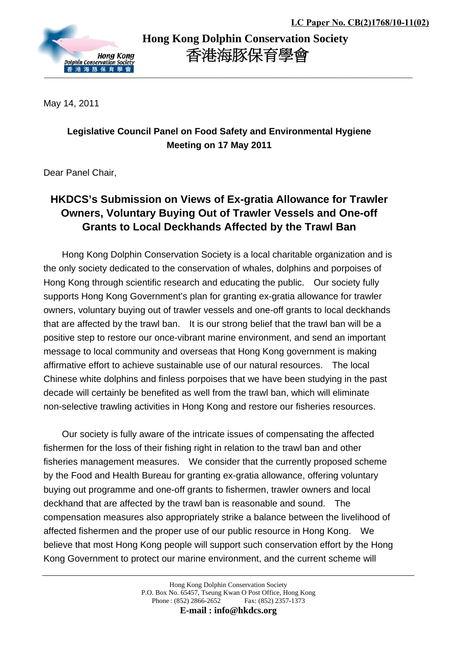

 **Hong Kong Dolphin Conservation Society** 香港海豚保育學會

May 14, 2011

## **Legislative Council Panel on Food Safety and Environmental Hygiene Meeting on 17 May 2011**

Dear Panel Chair,

## **HKDCS's Submission on Views of Ex-gratia Allowance for Trawler Owners, Voluntary Buying Out of Trawler Vessels and One-off Grants to Local Deckhands Affected by the Trawl Ban**

Hong Kong Dolphin Conservation Society is a local charitable organization and is the only society dedicated to the conservation of whales, dolphins and porpoises of Hong Kong through scientific research and educating the public. Our society fully supports Hong Kong Government's plan for granting ex-gratia allowance for trawler owners, voluntary buying out of trawler vessels and one-off grants to local deckhands that are affected by the trawl ban. It is our strong belief that the trawl ban will be a positive step to restore our once-vibrant marine environment, and send an important message to local community and overseas that Hong Kong government is making affirmative effort to achieve sustainable use of our natural resources. The local Chinese white dolphins and finless porpoises that we have been studying in the past decade will certainly be benefited as well from the trawl ban, which will eliminate non-selective trawling activities in Hong Kong and restore our fisheries resources.

Our society is fully aware of the intricate issues of compensating the affected fishermen for the loss of their fishing right in relation to the trawl ban and other fisheries management measures. We consider that the currently proposed scheme by the Food and Health Bureau for granting ex-gratia allowance, offering voluntary buying out programme and one-off grants to fishermen, trawler owners and local deckhand that are affected by the trawl ban is reasonable and sound. The compensation measures also appropriately strike a balance between the livelihood of affected fishermen and the proper use of our public resource in Hong Kong. We believe that most Hong Kong people will support such conservation effort by the Hong Kong Government to protect our marine environment, and the current scheme will